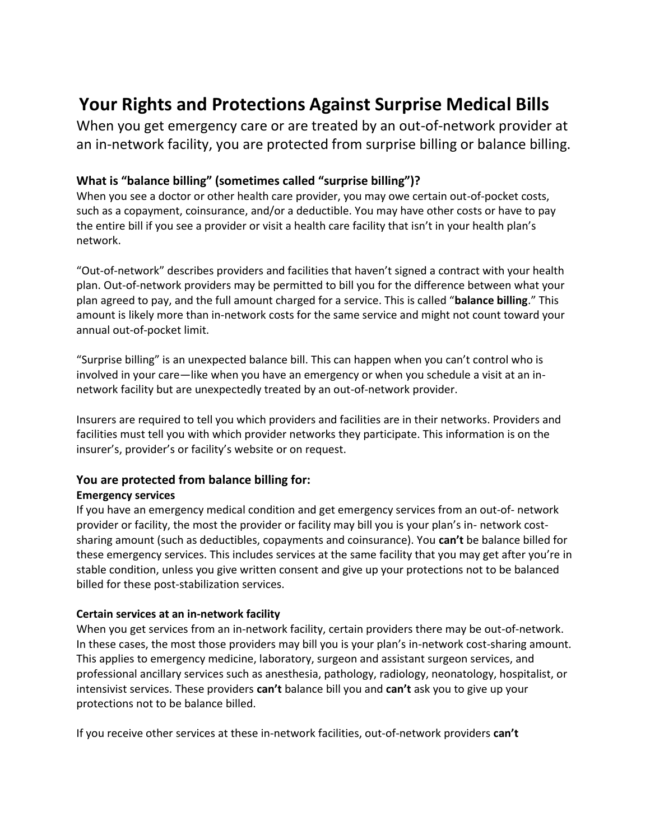# **Your Rights and Protections Against Surprise Medical Bills**

When you get emergency care or are treated by an out-of-network provider at an in-network facility, you are protected from surprise billing or balance billing.

## **What is "balance billing" (sometimes called "surprise billing")?**

When you see a doctor or other health care provider, you may owe certain out-of-pocket costs, such as a copayment, coinsurance, and/or a deductible. You may have other costs or have to pay the entire bill if you see a provider or visit a health care facility that isn't in your health plan's network.

"Out-of-network" describes providers and facilities that haven't signed a contract with your health plan. Out-of-network providers may be permitted to bill you for the difference between what your plan agreed to pay, and the full amount charged for a service. This is called "**balance billing**." This amount is likely more than in-network costs for the same service and might not count toward your annual out-of-pocket limit.

"Surprise billing" is an unexpected balance bill. This can happen when you can't control who is involved in your care—like when you have an emergency or when you schedule a visit at an innetwork facility but are unexpectedly treated by an out-of-network provider.

Insurers are required to tell you which providers and facilities are in their networks. Providers and facilities must tell you with which provider networks they participate. This information is on the insurer's, provider's or facility's website or on request.

### **You are protected from balance billing for:**

#### **Emergency services**

If you have an emergency medical condition and get emergency services from an out-of- network provider or facility, the most the provider or facility may bill you is your plan's in- network costsharing amount (such as deductibles, copayments and coinsurance). You **can't** be balance billed for these emergency services. This includes services at the same facility that you may get after you're in stable condition, unless you give written consent and give up your protections not to be balanced billed for these post-stabilization services.

#### **Certain services at an in-network facility**

When you get services from an in-network facility, certain providers there may be out-of-network. In these cases, the most those providers may bill you is your plan's in-network cost-sharing amount. This applies to emergency medicine, laboratory, surgeon and assistant surgeon services, and professional ancillary services such as anesthesia, pathology, radiology, neonatology, hospitalist, or intensivist services. These providers **can't** balance bill you and **can't** ask you to give up your protections not to be balance billed.

If you receive other services at these in-network facilities, out-of-network providers **can't**